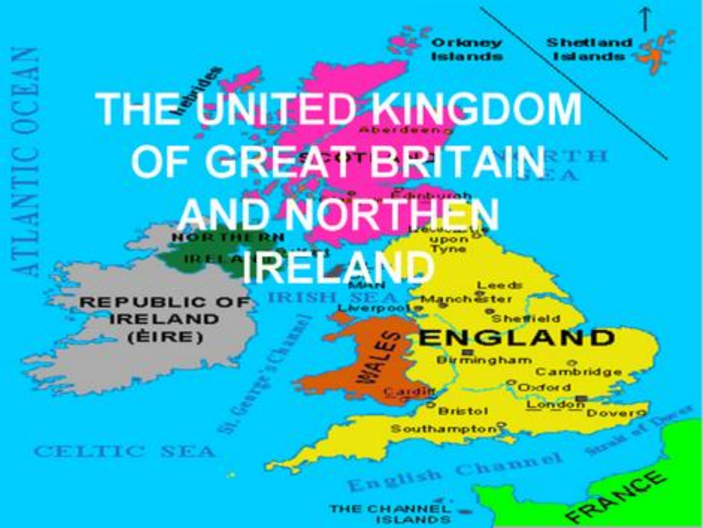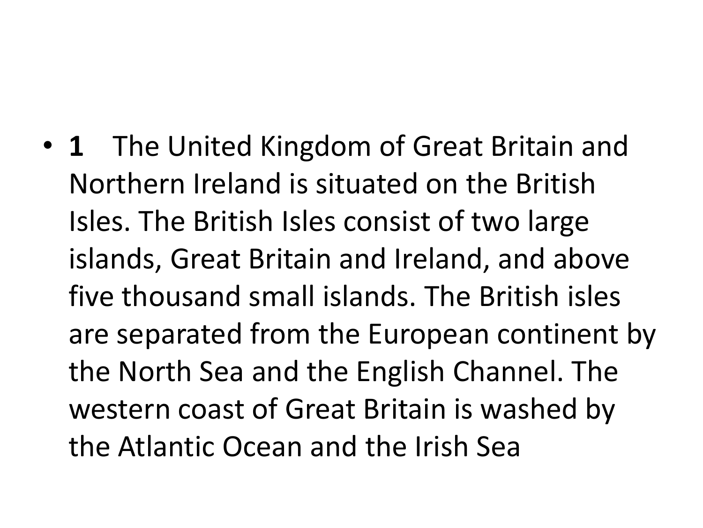• **1** The United Kingdom of Great Britain and Northern Ireland is situated on the British Isles. The British Isles consist of two large islands, Great Britain and Ireland, and above five thousand small islands. The British isles are separated from the European continent by the North Sea and the English Channel. The western coast of Great Britain is washed by the Atlantic Ocean and the Irish Sea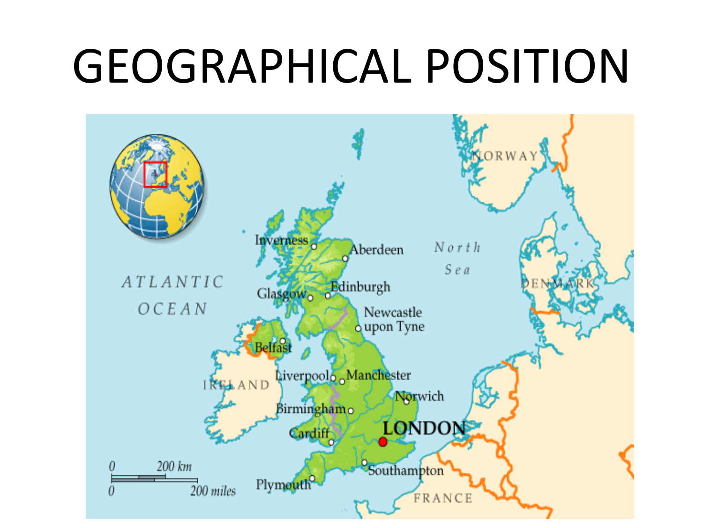## GEOGRAPHICAL POSITION

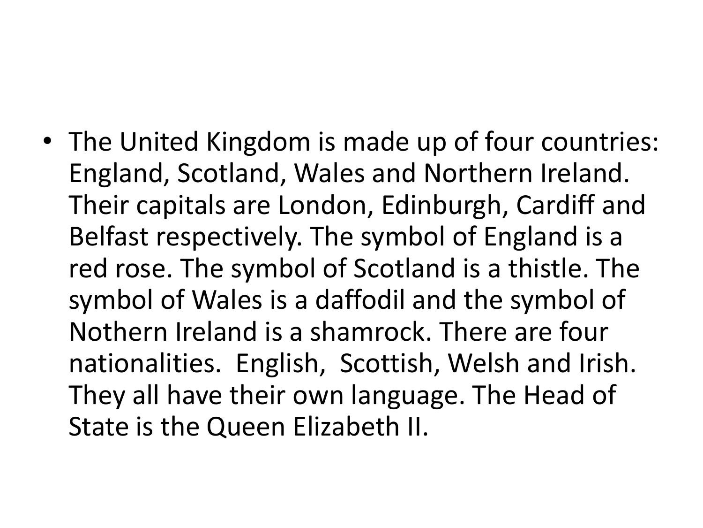• The United Kingdom is made up of four countries: England, Scotland, Wales and Northern Ireland. Their capitals are London, Edinburgh, Cardiff and Belfast respectively. The symbol of England is a red rose. The symbol of Scotland is a thistle. The symbol of Wales is a daffodil and the symbol of Nothern Ireland is a shamrock. There are four nationalities. English, Scottish, Welsh and Irish. They all have their own language. The Head of State is the Queen Elizabeth II.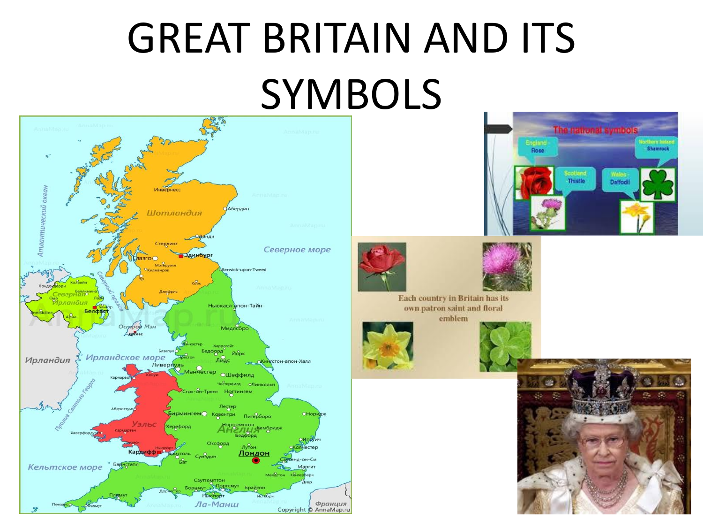### GREAT BRITAIN AND ITS SYMBOLS









Each country in Britain has its own patron saint and floral emblem





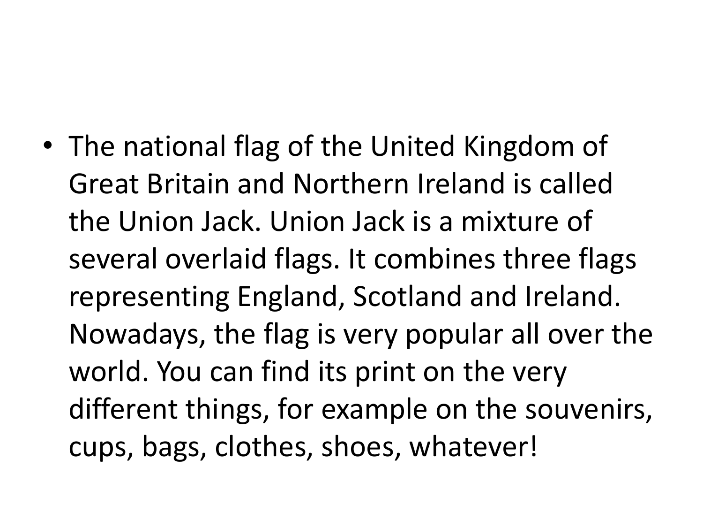• The national flag of the United Kingdom of Great Britain and Northern Ireland is called the Union Jack. Union Jack is a mixture of several overlaid flags. It combines three flags representing England, Scotland and Ireland. Nowadays, the flag is very popular all over the world. You can find its print on the very different things, for example on the souvenirs, cups, bags, clothes, shoes, whatever!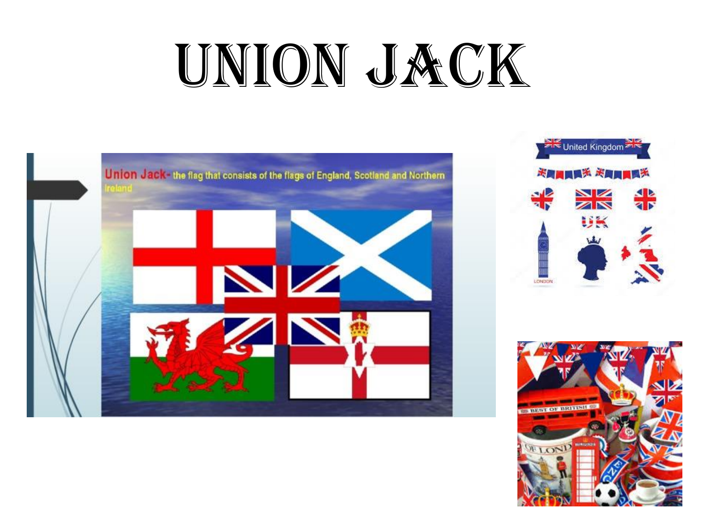# UNION JACK





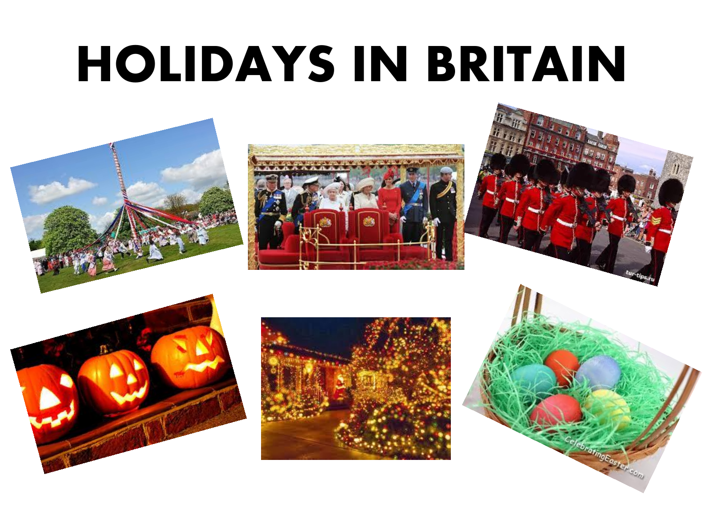## HOLIDAYS IN BRITAIN











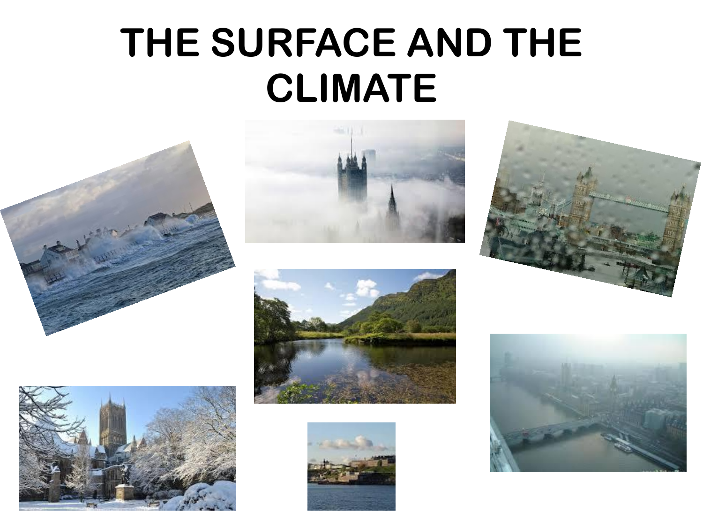#### **THE SURFACE AND THE CLIMATE**













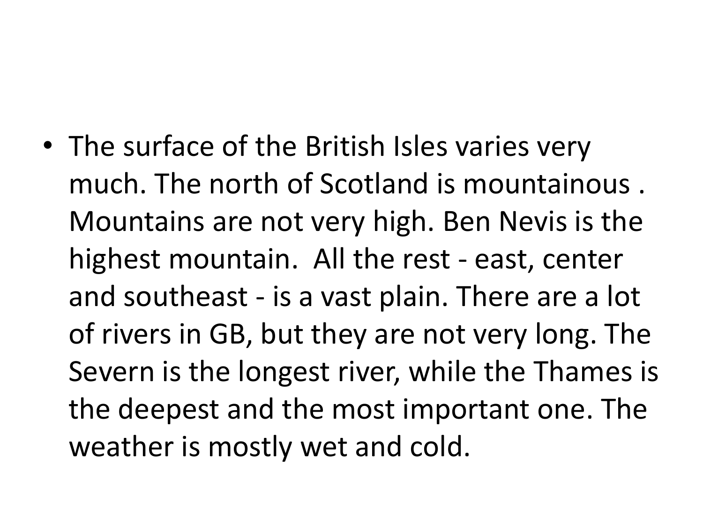• The surface of the British Isles varies very much. The north of Scotland is mountainous . Mountains are not very high. Ben Nevis is the highest mountain. All the rest - east, center and southeast - is a vast plain. There are a lot of rivers in GB, but they are not very long. The Severn is the longest river, while the Thames is the deepest and the most important one. The weather is mostly wet and cold.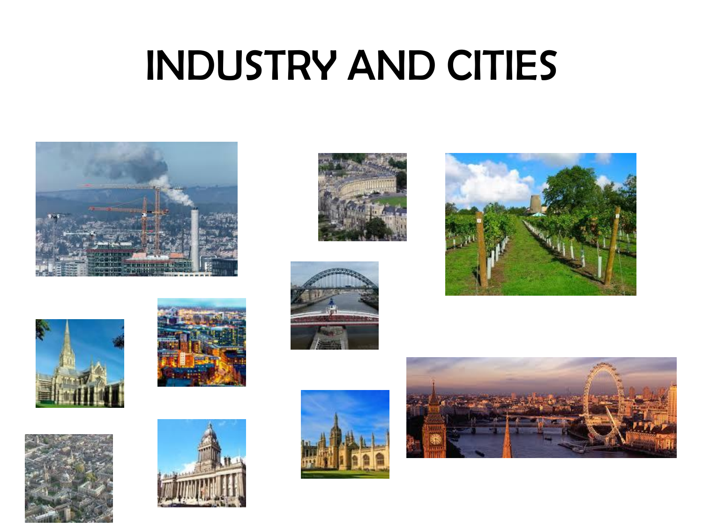### INDUSTRY AND CITIES



















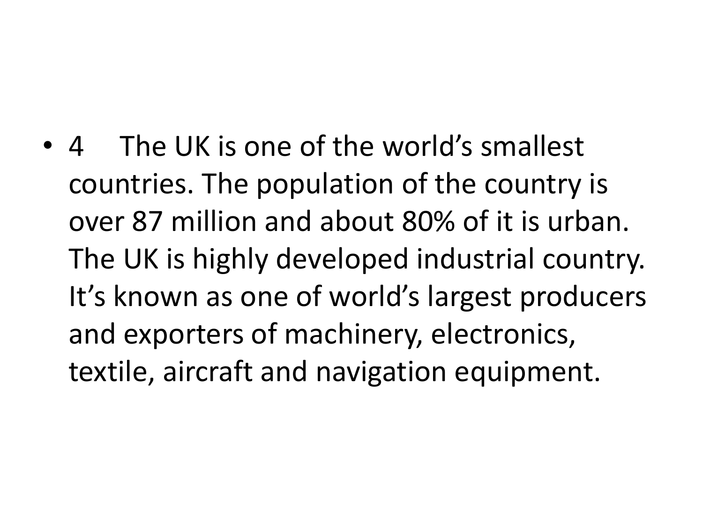• 4 The UK is one of the world's smallest countries. The population of the country is over 87 million and about 80% of it is urban. The UK is highly developed industrial country. It's known as one of world's largest producers and exporters of machinery, electronics, textile, aircraft and navigation equipment.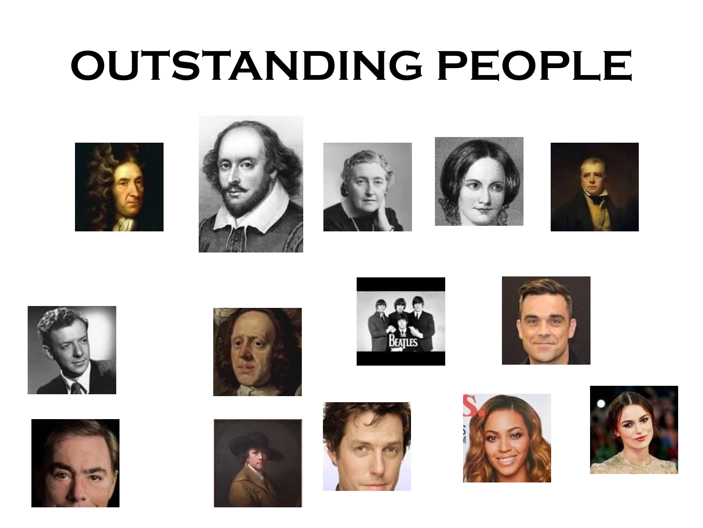### **OUTSTANDING PEOPLE**